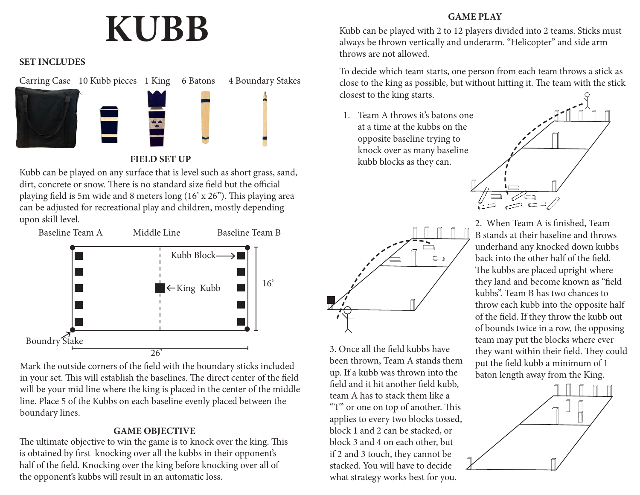# **KUBB**

#### **SET INCLUDES**



### **FIELD SET UP**

Kubb can be played on any surface that is level such as short grass, sand, dirt, concrete or snow. There is no standard size field but the official playing field is 5m wide and 8 meters long (16' x 26"). This playing area can be adjusted for recreational play and children, mostly depending upon skill level.



Mark the outside corners of the field with the boundary sticks included in your set. This will establish the baselines. The direct center of the field will be your mid line where the king is placed in the center of the middle line. Place 5 of the Kubbs on each baseline evenly placed between the boundary lines.

## **GAME OBJECTIVE**

The ultimate objective to win the game is to knock over the king. This is obtained by first knocking over all the kubbs in their opponent's half of the field. Knocking over the king before knocking over all of the opponent's kubbs will result in an automatic loss.

## **GAME PLAY**

Kubb can be played with 2 to 12 players divided into 2 teams. Sticks must always be thrown vertically and underarm. "Helicopter" and side arm throws are not allowed.

To decide which team starts, one person from each team throws a stick as close to the king as possible, but without hitting it. The team with the stick closest to the king starts.

1. Team A throws it's batons one at a time at the kubbs on the opposite baseline trying to knock over as many baseline kubb blocks as they can.





3. Once all the field kubbs have been thrown, Team A stands them up. If a kubb was thrown into the field and it hit another field kubb, team A has to stack them like a "T" or one on top of another. This applies to every two blocks tossed, block 1 and 2 can be stacked, or block 3 and 4 on each other, but if 2 and 3 touch, they cannot be stacked. You will have to decide what strategy works best for you.

2. When Team A is finished, Team B stands at their baseline and throws underhand any knocked down kubbs back into the other half of the field. The kubbs are placed upright where they land and become known as "field kubbs". Team B has two chances to throw each kubb into the opposite half of the field. If they throw the kubb out of bounds twice in a row, the opposing team may put the blocks where ever they want within their field. They could put the field kubb a minimum of 1 baton length away from the King.